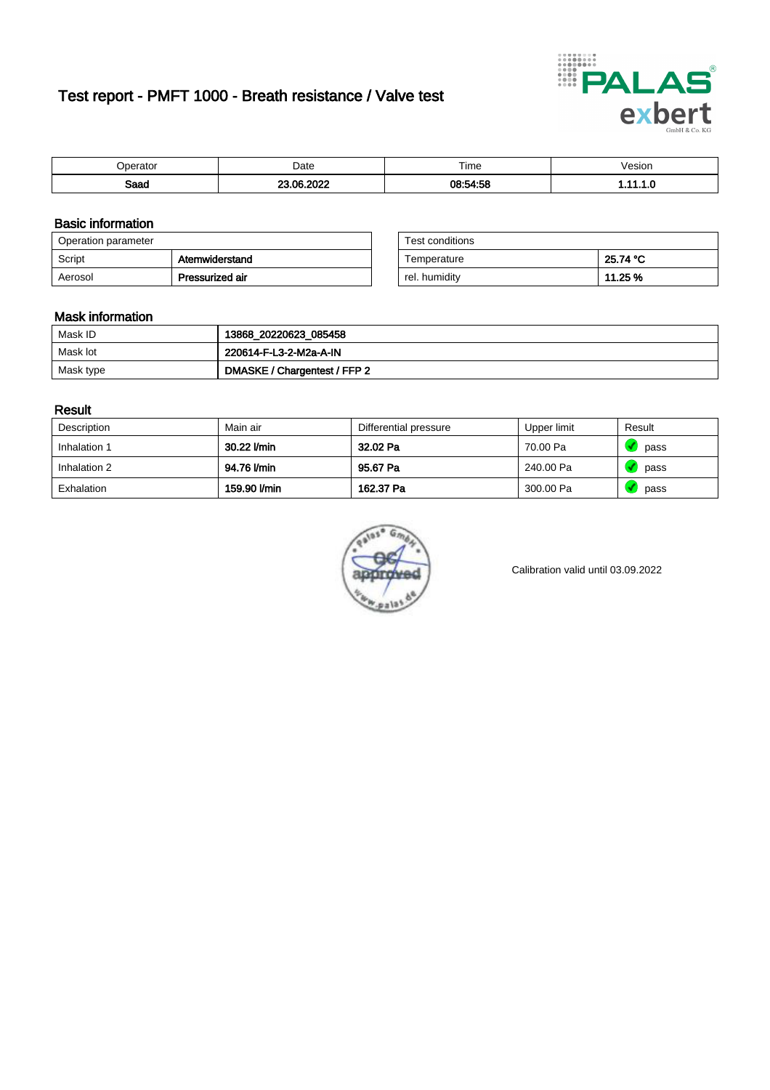# Test report - PMFT 1000 - Breath resistance / Valve test



| maxmax | Date       | $- \cdot$<br>Time | esion/ |
|--------|------------|-------------------|--------|
| Saad   | -----<br>~ | 08:54:58          | .      |

### Basic information

| Operation parameter |                 | Test conditions |          |
|---------------------|-----------------|-----------------|----------|
| Script              | Atemwiderstand  | Temperature     | 25.74 °C |
| Aerosol             | Pressurized air | rel. humidity   | 11.25 %  |

| Test conditions |          |
|-----------------|----------|
| Temperature     | 25.74 °C |
| rel. humidity   | 11.25 %  |

#### Mask information

| Mask ID   | 13868_20220623_085458        |
|-----------|------------------------------|
| Mask lot  | 220614-F-L3-2-M2a-A-IN       |
| Mask type | DMASKE / Chargentest / FFP 2 |

### Result

| Description  | Main air     | Differential pressure | Upper limit | Result |
|--------------|--------------|-----------------------|-------------|--------|
| Inhalation 1 | 30.22 l/min  | 32.02 Pa              | 70.00 Pa    | pass   |
| Inhalation 2 | 94.76 l/min  | 95.67 Pa              | 240.00 Pa   | pass   |
| Exhalation   | 159.90 l/min | 162.37 Pa             | 300.00 Pa   | pass   |



Calibration valid until 03.09.2022